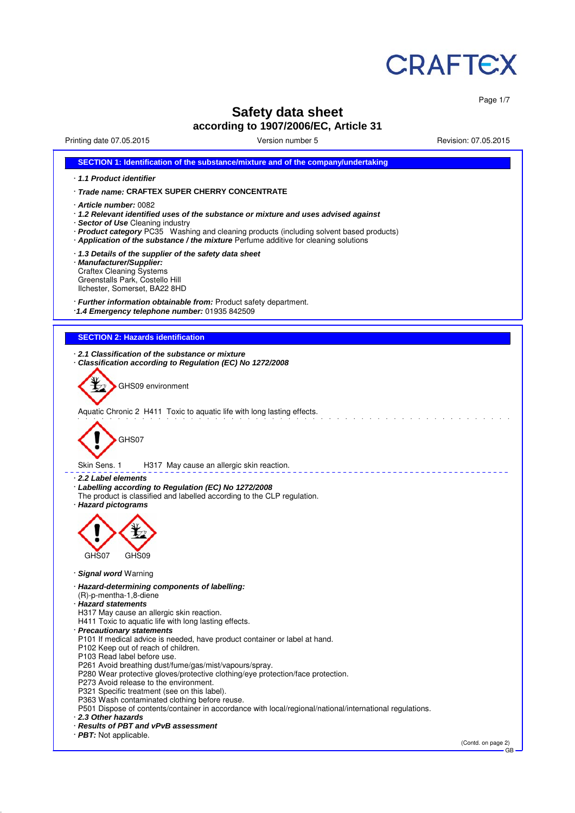

Page 1/7

# **Safety data sheet according to 1907/2006/EC, Article 31**

Printing date 07.05.2015 **Version number 5** Revision: 07.05.2015 **Revision: 07.05.2015** 



GB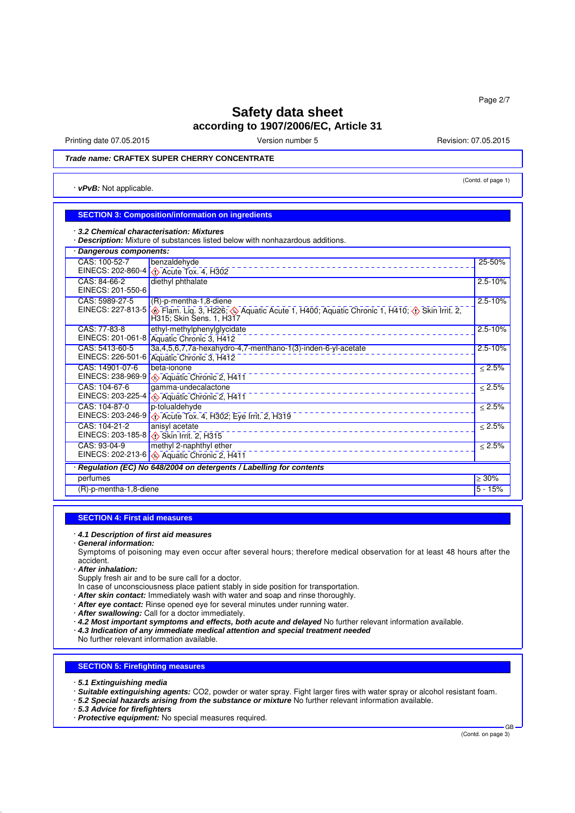Printing date 07.05.2015 **Version number 5** Revision: 07.05.2015 **Revision: 07.05.2015** 

(Contd. of page 1)

## *Trade name:* **CRAFTEX SUPER CHERRY CONCENTRATE**

· *vPvB:* Not applicable.

### **SECTION 3: Composition/information on ingredients**

· *3.2 Chemical characterisation: Mixtures*

· *Description:* Mixture of substances listed below with nonhazardous additions.

| Dangerous components:                                              |                                                                                                                                               |              |
|--------------------------------------------------------------------|-----------------------------------------------------------------------------------------------------------------------------------------------|--------------|
| CAS: 100-52-7                                                      | benzaldehyde                                                                                                                                  | 25-50%       |
|                                                                    | EINECS: 202-860-4 \<br>Acute Tox. 4, H302                                                                                                     |              |
| CAS: 84-66-2                                                       | diethyl phthalate                                                                                                                             | $2.5 - 10%$  |
| EINECS: 201-550-6                                                  |                                                                                                                                               |              |
| CAS: 5989-27-5                                                     | (R)-p-mentha-1,8-diene                                                                                                                        | $2.5 - 10%$  |
|                                                                    | EINECS: 227-813-5 <b>4</b> Flam, Liq. 3, H226; 4 Aquatic Acute 1, H400; Aquatic Chronic 1, H410; 4 Skin Irrit. 2,<br>H315; Skin Sens. 1, H317 |              |
| CAS: 77-83-8                                                       | ethyl-methylphenylglycidate                                                                                                                   | $2.5 - 10%$  |
|                                                                    | EINECS: 201-061-8 Aquatic Chronic 3, H412                                                                                                     |              |
| CAS: 5413-60-5                                                     | 3a, 4, 5, 6, 7, 7a-hexahydro-4, 7-menthano-1(3)-inden-6-yl-acetate                                                                            | $2.5 - 10%$  |
|                                                                    | EINECS: 226-501-6 Aquatic Chronic 3, H412                                                                                                     |              |
| CAS: 14901-07-6                                                    | beta-ionone                                                                                                                                   | $< 2.5\%$    |
|                                                                    | EINECS: 238-969-9 4 Aquatic Chronic 2, H411                                                                                                   |              |
| CAS: 104-67-6                                                      | gamma-undecalactone                                                                                                                           | $\leq 2.5\%$ |
|                                                                    | EINECS: 203-225-4 4 Aquatic Chronic 2, H411                                                                                                   |              |
| CAS: 104-87-0                                                      | p-tolualdehyde                                                                                                                                | $\leq$ 2.5%  |
|                                                                    | EINECS: 203-246-9 <b>4</b> Acute Tox. 4, H302; Eye Irrit. 2, H319                                                                             |              |
| CAS: 104-21-2                                                      | anisyl acetate                                                                                                                                | $< 2.5\%$    |
|                                                                    | EINECS: 203-185-8 \. Skin Irrit. 2, H315                                                                                                      |              |
| CAS: 93-04-9                                                       | methyl 2-naphthyl ether                                                                                                                       | $< 2.5\%$    |
|                                                                    | EINECS: 202-213-6 4 Aquatic Chronic 2, H411                                                                                                   |              |
| Regulation (EC) No 648/2004 on detergents / Labelling for contents |                                                                                                                                               |              |
| perfumes                                                           |                                                                                                                                               | $\geq 30\%$  |
| (R)-p-mentha-1,8-diene                                             |                                                                                                                                               | $5 - 15%$    |

#### **SECTION 4: First aid measures**

#### · *4.1 Description of first aid measures*

· *General information:*

Symptoms of poisoning may even occur after several hours; therefore medical observation for at least 48 hours after the accident.

- · *After inhalation:*
- Supply fresh air and to be sure call for a doctor.
- In case of unconsciousness place patient stably in side position for transportation.
- · *After skin contact:* Immediately wash with water and soap and rinse thoroughly.
- · *After eye contact:* Rinse opened eye for several minutes under running water.
- · *After swallowing:* Call for a doctor immediately.
- · *4.2 Most important symptoms and effects, both acute and delayed* No further relevant information available.
- · *4.3 Indication of any immediate medical attention and special treatment needed*
- No further relevant information available.

#### **SECTION 5: Firefighting measures**

- · *5.1 Extinguishing media*
- · *Suitable extinguishing agents:* CO2, powder or water spray. Fight larger fires with water spray or alcohol resistant foam.
- · *5.2 Special hazards arising from the substance or mixture* No further relevant information available.
- · *5.3 Advice for firefighters*
- · *Protective equipment:* No special measures required.

(Contd. on page 3)

GB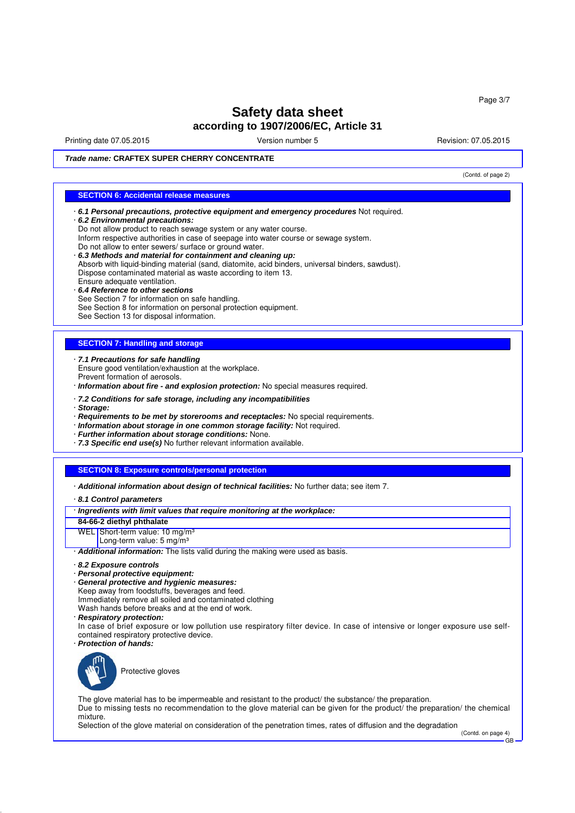Printing date 07.05.2015 **Principal and COVID-100** Version number 5 Revision: 07.05.2015

(Contd. of page 2)

## *Trade name:* **CRAFTEX SUPER CHERRY CONCENTRATE**

#### **SECTION 6: Accidental release measures**

- · *6.1 Personal precautions, protective equipment and emergency procedures* Not required.
- · *6.2 Environmental precautions:*
- Do not allow product to reach sewage system or any water course.
- Inform respective authorities in case of seepage into water course or sewage system. Do not allow to enter sewers/ surface or ground water.
- · *6.3 Methods and material for containment and cleaning up:* Absorb with liquid-binding material (sand, diatomite, acid binders, universal binders, sawdust). Dispose contaminated material as waste according to item 13. Ensure adequate ventilation. · *6.4 Reference to other sections*
- See Section 7 for information on safe handling. See Section 8 for information on personal protection equipment. See Section 13 for disposal information.

### **SECTION 7: Handling and storage**

- · *7.1 Precautions for safe handling*
- Ensure good ventilation/exhaustion at the workplace.
- Prevent formation of aerosols.
- · *Information about fire and explosion protection:* No special measures required.
- · *7.2 Conditions for safe storage, including any incompatibilities*
- · *Storage:*
- · *Requirements to be met by storerooms and receptacles:* No special requirements.
- · *Information about storage in one common storage facility:* Not required.
- · *Further information about storage conditions:* None.
- · *7.3 Specific end use(s)* No further relevant information available.

### **SECTION 8: Exposure controls/personal protection**

- · *Additional information about design of technical facilities:* No further data; see item 7.
- · *8.1 Control parameters*

#### · *Ingredients with limit values that require monitoring at the workplace:*

- **84-66-2 diethyl phthalate**
- WEL Short-term value: 10 mg/m<sup>3</sup>
- Long-term value: 5 mg/m<sup>3</sup>
- · *Additional information:* The lists valid during the making were used as basis.
- · *8.2 Exposure controls*
- · *Personal protective equipment:*
- · *General protective and hygienic measures:* Keep away from foodstuffs, beverages and feed. Immediately remove all soiled and contaminated clothing Wash hands before breaks and at the end of work.
- · *Respiratory protection:*
- In case of brief exposure or low pollution use respiratory filter device. In case of intensive or longer exposure use selfcontained respiratory protective device.
- · *Protection of hands:*



The glove material has to be impermeable and resistant to the product/ the substance/ the preparation. Due to missing tests no recommendation to the glove material can be given for the product/ the preparation/ the chemical mixture.

Selection of the glove material on consideration of the penetration times, rates of diffusion and the degradation

(Contd. on page 4) GB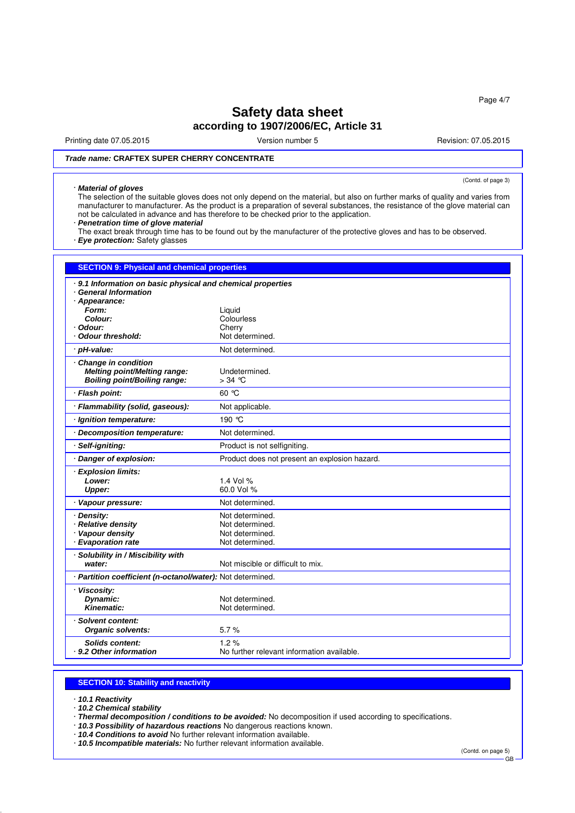Printing date 07.05.2015 **Version number 5** Nevision: 07.05.2015 **Revision: 07.05.2015** 

(Contd. of page 3)

## *Trade name:* **CRAFTEX SUPER CHERRY CONCENTRATE**

#### · *Material of gloves*

The selection of the suitable gloves does not only depend on the material, but also on further marks of quality and varies from manufacturer to manufacturer. As the product is a preparation of several substances, the resistance of the glove material can not be calculated in advance and has therefore to be checked prior to the application.

## · *Penetration time of glove material*

The exact break through time has to be found out by the manufacturer of the protective gloves and has to be observed.

· *Eye protection:* Safety glasses

| <b>SECTION 9: Physical and chemical properties</b>                                                       |                                               |  |  |  |
|----------------------------------------------------------------------------------------------------------|-----------------------------------------------|--|--|--|
| 9.1 Information on basic physical and chemical properties<br><b>General Information</b><br>· Appearance: |                                               |  |  |  |
| Form:                                                                                                    | Liguid                                        |  |  |  |
| Colour:                                                                                                  | Colourless                                    |  |  |  |
| Odour:                                                                                                   | Cherry                                        |  |  |  |
| <b>Odour threshold:</b>                                                                                  | Not determined.                               |  |  |  |
| · pH-value:                                                                                              | Not determined.                               |  |  |  |
| <b>Change in condition</b><br><b>Melting point/Melting range:</b><br>Boiling point/Boiling range:        | Undetermined.<br>$>34$ °C                     |  |  |  |
| · Flash point:                                                                                           | $60^\circ$ C                                  |  |  |  |
| · Flammability (solid, gaseous):                                                                         | Not applicable.                               |  |  |  |
| Ignition temperature:                                                                                    | 190 °C                                        |  |  |  |
| <b>Decomposition temperature:</b>                                                                        | Not determined.                               |  |  |  |
| Self-igniting:                                                                                           | Product is not selfigniting.                  |  |  |  |
| Danger of explosion:                                                                                     | Product does not present an explosion hazard. |  |  |  |
| · Explosion limits:                                                                                      |                                               |  |  |  |
| Lower:                                                                                                   | 1.4 Vol %                                     |  |  |  |
| Upper:                                                                                                   | 60.0 Vol %                                    |  |  |  |
| · Vapour pressure:                                                                                       | Not determined.                               |  |  |  |
| Density:                                                                                                 | Not determined.                               |  |  |  |
| · Relative density                                                                                       | Not determined.                               |  |  |  |
| · Vapour density<br>· Evaporation rate                                                                   | Not determined.<br>Not determined.            |  |  |  |
|                                                                                                          |                                               |  |  |  |
| Solubility in / Miscibility with<br>water:                                                               | Not miscible or difficult to mix.             |  |  |  |
| · Partition coefficient (n-octanol/water): Not determined.                                               |                                               |  |  |  |
| · Viscosity:                                                                                             |                                               |  |  |  |
| Dynamic:                                                                                                 | Not determined.                               |  |  |  |
| Kinematic:                                                                                               | Not determined.                               |  |  |  |
| · Solvent content:<br><b>Organic solvents:</b>                                                           | 5.7%                                          |  |  |  |
| Solids content:                                                                                          | 1.2%                                          |  |  |  |
| 9.2 Other information                                                                                    | No further relevant information available.    |  |  |  |

### **SECTION 10: Stability and reactivity**

- · *10.1 Reactivity*
- · *10.2 Chemical stability*
- · *Thermal decomposition / conditions to be avoided:* No decomposition if used according to specifications.
- · *10.3 Possibility of hazardous reactions* No dangerous reactions known.
- · *10.4 Conditions to avoid* No further relevant information available.
- · *10.5 Incompatible materials:* No further relevant information available.

(Contd. on page 5)

GB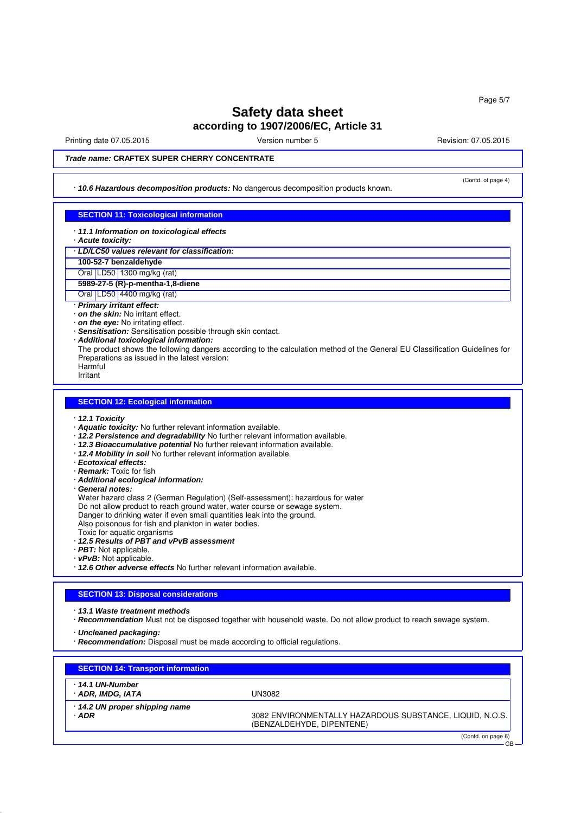Printing date 07.05.2015 **Principal and COVID-100** Version number 5 Revision: 07.05.2015

(Contd. of page 4)

## *Trade name:* **CRAFTEX SUPER CHERRY CONCENTRATE**

· *10.6 Hazardous decomposition products:* No dangerous decomposition products known.

## **SECTION 11: Toxicological information**

- · *11.1 Information on toxicological effects*
- · *Acute toxicity:*
- · *LD/LC50 values relevant for classification:*
- **100-52-7 benzaldehyde**
- Oral LD50 1300 mg/kg (rat)

**5989-27-5 (R)-p-mentha-1,8-diene**

Oral LD50 4400 mg/kg (rat)

- · *Primary irritant effect:*
- · *on the skin:* No irritant effect.
- · *on the eye:* No irritating effect.
- · *Sensitisation:* Sensitisation possible through skin contact.
- · *Additional toxicological information:*
- The product shows the following dangers according to the calculation method of the General EU Classification Guidelines for Preparations as issued in the latest version: Harmful

Irritant

#### **SECTION 12: Ecological information**

- · *12.1 Toxicity*
- · *Aquatic toxicity:* No further relevant information available.
- · *12.2 Persistence and degradability* No further relevant information available.
- · *12.3 Bioaccumulative potential* No further relevant information available.
- · *12.4 Mobility in soil* No further relevant information available.
- · *Ecotoxical effects:*
- · *Remark:* Toxic for fish
- · *Additional ecological information:*
- · *General notes:*

Water hazard class 2 (German Regulation) (Self-assessment): hazardous for water

- Do not allow product to reach ground water, water course or sewage system.
- Danger to drinking water if even small quantities leak into the ground.
- Also poisonous for fish and plankton in water bodies.
- Toxic for aquatic organisms
- · *12.5 Results of PBT and vPvB assessment*
- · *PBT:* Not applicable.
- · *vPvB:* Not applicable.
- · *12.6 Other adverse effects* No further relevant information available.

#### **SECTION 13: Disposal considerations**

- · *13.1 Waste treatment methods*
- · *Recommendation* Must not be disposed together with household waste. Do not allow product to reach sewage system.
- · *Uncleaned packaging:*
- · *Recommendation:* Disposal must be made according to official regulations.

| <b>SECTION 14: Transport information</b>    |                                                                                       |
|---------------------------------------------|---------------------------------------------------------------------------------------|
| $\cdot$ 14.1 UN-Number<br>· ADR, IMDG, IATA | UN3082                                                                                |
| 14.2 UN proper shipping name<br>$·$ ADR     | 3082 ENVIRONMENTALLY HAZARDOUS SUBSTANCE, LIQUID, N.O.S.<br>(BENZALDEHYDE, DIPENTENE) |
|                                             | (Contd. on page 6)<br>$GB -$                                                          |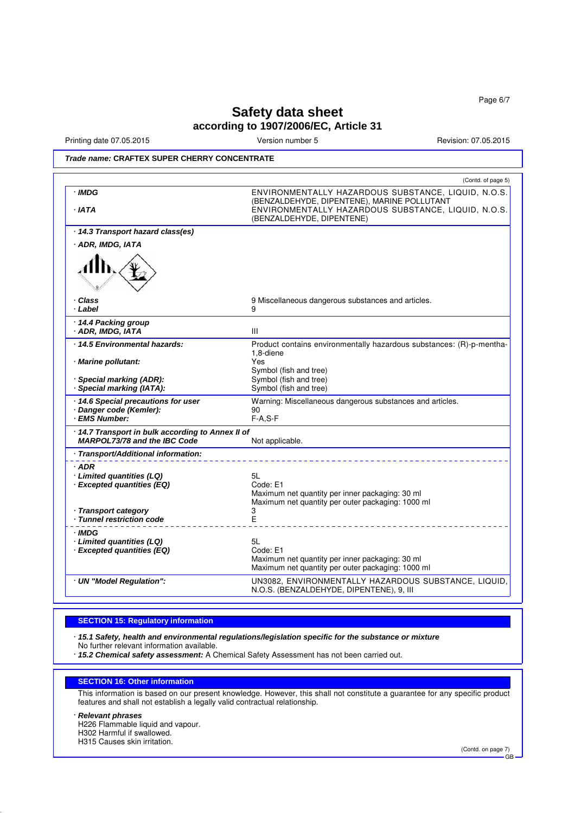Page 6/7

# **Safety data sheet according to 1907/2006/EC, Article 31**

Printing date 07.05.2015 **Version number 5** Revision: 07.05.2015 **Revision: 07.05.2015** 

*Trade name:* **CRAFTEX SUPER CHERRY CONCENTRATE**

|                                                                                          | (Contd. of page 5)                                                                                                                                                                     |
|------------------------------------------------------------------------------------------|----------------------------------------------------------------------------------------------------------------------------------------------------------------------------------------|
| · IMDG<br>· IATA                                                                         | ENVIRONMENTALLY HAZARDOUS SUBSTANCE, LIQUID, N.O.S.<br>(BENZALDEHYDE, DIPENTENE), MARINE POLLUTANT<br>ENVIRONMENTALLY HAZARDOUS SUBSTANCE, LIQUID, N.O.S.<br>(BENZALDEHYDE, DIPENTENE) |
| · 14.3 Transport hazard class(es)                                                        |                                                                                                                                                                                        |
| · ADR, IMDG, IATA                                                                        |                                                                                                                                                                                        |
|                                                                                          |                                                                                                                                                                                        |
| · Class<br>· Label                                                                       | 9 Miscellaneous dangerous substances and articles.<br>9                                                                                                                                |
| 14.4 Packing group<br>· ADR, IMDG, IATA                                                  | Ш                                                                                                                                                                                      |
| · 14.5 Environmental hazards:                                                            | Product contains environmentally hazardous substances: (R)-p-mentha-<br>1.8-diene                                                                                                      |
| · Marine pollutant:                                                                      | Yes<br>Symbol (fish and tree)                                                                                                                                                          |
| Special marking (ADR):<br>Special marking (IATA):                                        | Symbol (fish and tree)<br>Symbol (fish and tree)                                                                                                                                       |
| · 14.6 Special precautions for user<br>· Danger code (Kemler):<br>· EMS Number:          | Warning: Miscellaneous dangerous substances and articles.<br>90<br>$F-A, S-F$                                                                                                          |
| · 14.7 Transport in bulk according to Annex II of<br><b>MARPOL73/78 and the IBC Code</b> | Not applicable.                                                                                                                                                                        |
| · Transport/Additional information:                                                      |                                                                                                                                                                                        |
| · ADR<br>· Limited quantities (LQ)<br>· Excepted quantities (EQ)                         | 5L<br>Code: E1<br>Maximum net quantity per inner packaging: 30 ml                                                                                                                      |
| · Transport category<br>· Tunnel restriction code                                        | Maximum net quantity per outer packaging: 1000 ml<br>3<br>F                                                                                                                            |
| · IMDG<br>· Limited quantities (LQ)<br>· Excepted quantities (EQ)                        | 5L<br>Code: E1<br>Maximum net quantity per inner packaging: 30 ml<br>Maximum net quantity per outer packaging: 1000 ml                                                                 |
| · UN "Model Regulation":                                                                 | UN3082, ENVIRONMENTALLY HAZARDOUS SUBSTANCE, LIQUID,                                                                                                                                   |

#### **SECTION 15: Regulatory information**

· *15.1 Safety, health and environmental regulations/legislation specific for the substance or mixture* No further relevant information available.

· *15.2 Chemical safety assessment:* A Chemical Safety Assessment has not been carried out.

### **SECTION 16: Other information**

This information is based on our present knowledge. However, this shall not constitute a guarantee for any specific product features and shall not establish a legally valid contractual relationship.

### · *Relevant phrases*

H226 Flammable liquid and vapour.

H302 Harmful if swallowed.

H315 Causes skin irritation.

(Contd. on page 7)

GB